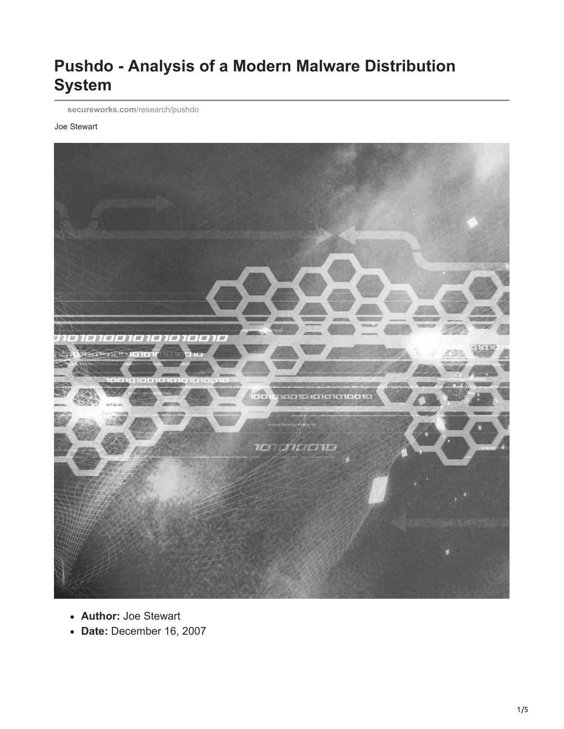## **Pushdo - Analysis of a Modern Malware Distribution System**

**[secureworks.com](https://www.secureworks.com/research/pushdo)**/research/pushdo

Joe Stewart



- **Author:** Joe Stewart
- **Date:** December 16, 2007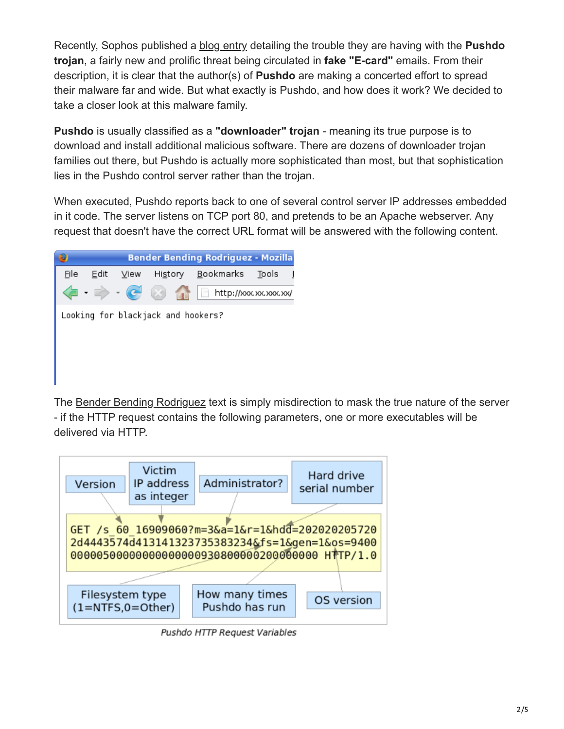Recently, Sophos published a [blog entry](http://www.sophos.com/security/blog/2007/12/876.html) detailing the trouble they are having with the **Pushdo trojan**, a fairly new and prolific threat being circulated in **fake "E-card"** emails. From their description, it is clear that the author(s) of **Pushdo** are making a concerted effort to spread their malware far and wide. But what exactly is Pushdo, and how does it work? We decided to take a closer look at this malware family.

**Pushdo** is usually classified as a **"downloader" trojan** - meaning its true purpose is to download and install additional malicious software. There are dozens of downloader trojan families out there, but Pushdo is actually more sophisticated than most, but that sophistication lies in the Pushdo control server rather than the trojan.

When executed, Pushdo reports back to one of several control server IP addresses embedded in it code. The server listens on TCP port 80, and pretends to be an Apache webserver. Any request that doesn't have the correct URL format will be answered with the following content.



The [Bender Bending Rodriguez](http://en.wikipedia.org/wiki/Bender_(Futurama)) text is simply misdirection to mask the true nature of the server - if the HTTP request contains the following parameters, one or more executables will be delivered via HTTP.



Pushdo HTTP Request Variables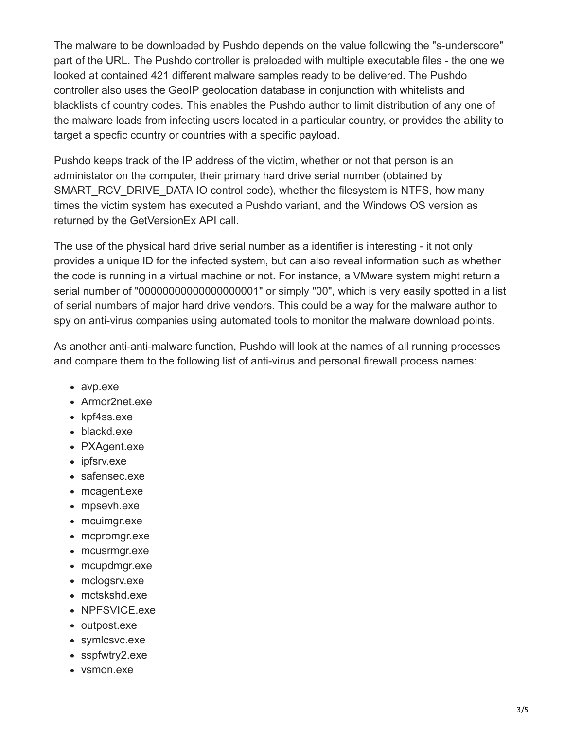The malware to be downloaded by Pushdo depends on the value following the "s-underscore" part of the URL. The Pushdo controller is preloaded with multiple executable files - the one we looked at contained 421 different malware samples ready to be delivered. The Pushdo controller also uses the GeoIP geolocation database in conjunction with whitelists and blacklists of country codes. This enables the Pushdo author to limit distribution of any one of the malware loads from infecting users located in a particular country, or provides the ability to target a specfic country or countries with a specific payload.

Pushdo keeps track of the IP address of the victim, whether or not that person is an administator on the computer, their primary hard drive serial number (obtained by SMART\_RCV\_DRIVE\_DATA IO control code), whether the filesystem is NTFS, how many times the victim system has executed a Pushdo variant, and the Windows OS version as returned by the GetVersionEx API call.

The use of the physical hard drive serial number as a identifier is interesting - it not only provides a unique ID for the infected system, but can also reveal information such as whether the code is running in a virtual machine or not. For instance, a VMware system might return a serial number of "00000000000000000001" or simply "00", which is very easily spotted in a list of serial numbers of major hard drive vendors. This could be a way for the malware author to spy on anti-virus companies using automated tools to monitor the malware download points.

As another anti-anti-malware function, Pushdo will look at the names of all running processes and compare them to the following list of anti-virus and personal firewall process names:

- avp.exe
- Armor2net.exe
- kpf4ss.exe
- blackd.exe
- PXAgent.exe
- ipfsrv.exe
- safensec.exe
- mcagent.exe
- mpsevh.exe
- mcuimgr.exe
- mcpromgr.exe
- mcusrmgr.exe
- mcupdmgr.exe
- mclogsrv.exe
- mctskshd.exe
- NPFSVICE.exe
- outpost.exe
- symlcsvc.exe
- sspfwtry2.exe
- vsmon.exe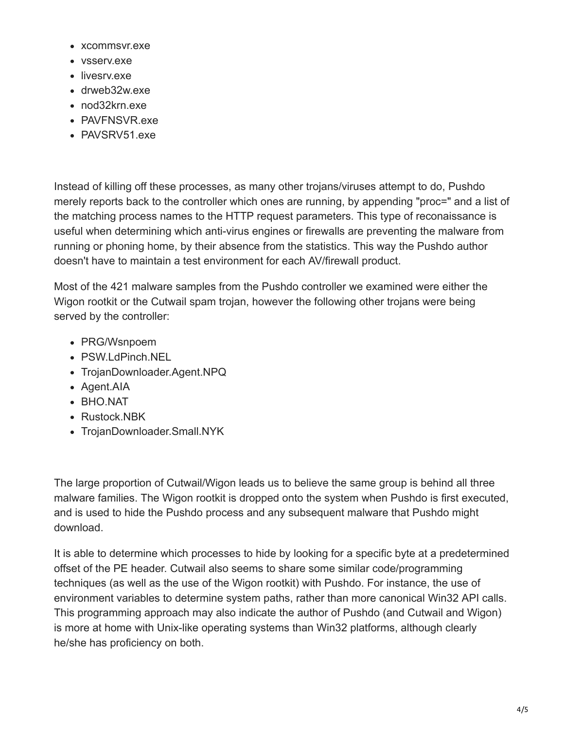- xcommsvr.exe
- vsserv.exe
- livesry.exe
- drweb32w.exe
- nod32krn.exe
- PAVFNSVR.exe
- PAVSRV51.exe

Instead of killing off these processes, as many other trojans/viruses attempt to do, Pushdo merely reports back to the controller which ones are running, by appending "proc=" and a list of the matching process names to the HTTP request parameters. This type of reconaissance is useful when determining which anti-virus engines or firewalls are preventing the malware from running or phoning home, by their absence from the statistics. This way the Pushdo author doesn't have to maintain a test environment for each AV/firewall product.

Most of the 421 malware samples from the Pushdo controller we examined were either the Wigon rootkit or the Cutwail spam trojan, however the following other trojans were being served by the controller:

- PRG/Wsnpoem
- PSW.LdPinch.NEL
- TrojanDownloader.Agent.NPQ
- Agent.AIA
- BHO NAT
- Rustock.NBK
- TrojanDownloader.Small.NYK

The large proportion of Cutwail/Wigon leads us to believe the same group is behind all three malware families. The Wigon rootkit is dropped onto the system when Pushdo is first executed, and is used to hide the Pushdo process and any subsequent malware that Pushdo might download.

It is able to determine which processes to hide by looking for a specific byte at a predetermined offset of the PE header. Cutwail also seems to share some similar code/programming techniques (as well as the use of the Wigon rootkit) with Pushdo. For instance, the use of environment variables to determine system paths, rather than more canonical Win32 API calls. This programming approach may also indicate the author of Pushdo (and Cutwail and Wigon) is more at home with Unix-like operating systems than Win32 platforms, although clearly he/she has proficiency on both.